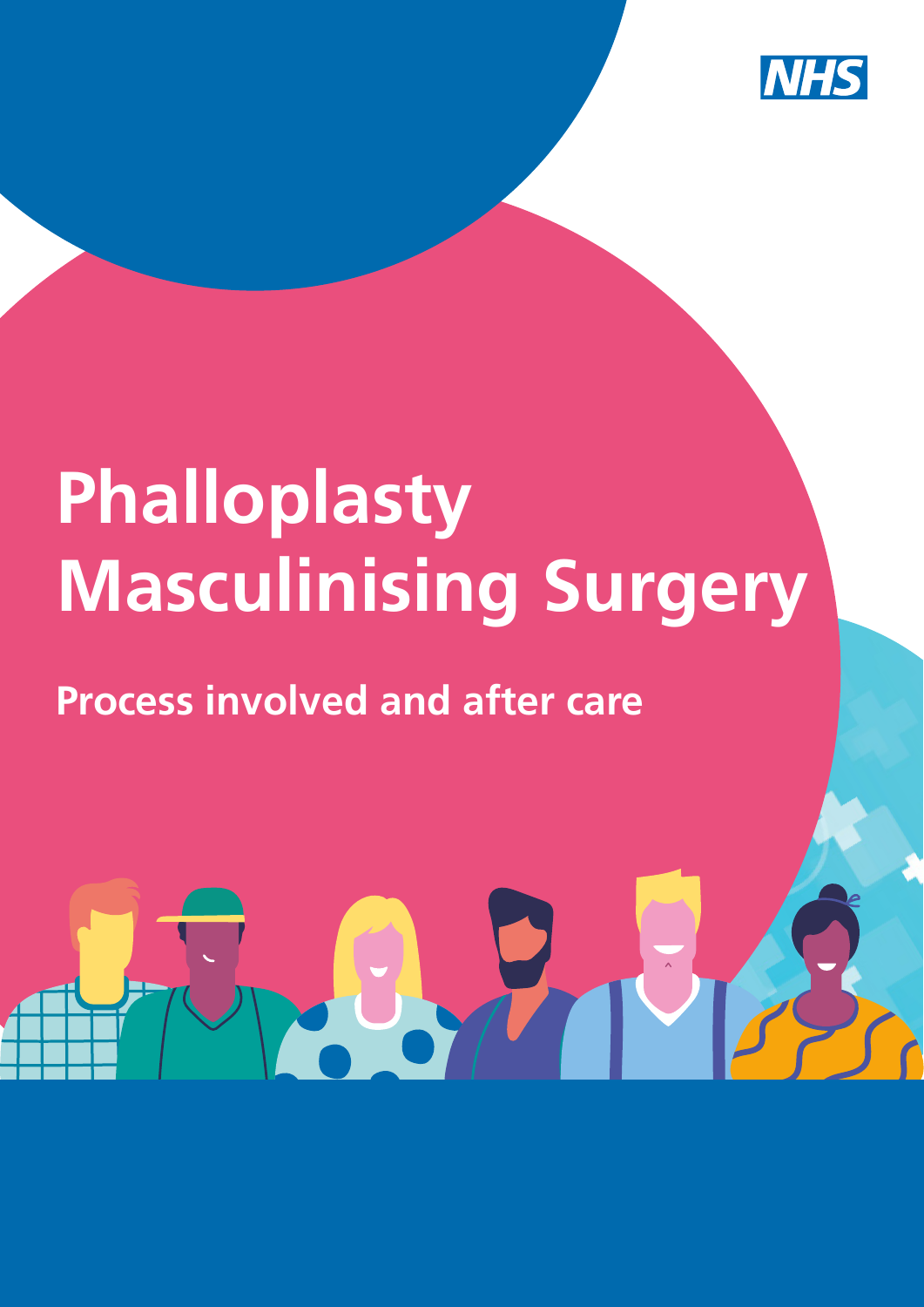

# **Phalloplasty Masculinising Surgery**

# **Process involved and after care**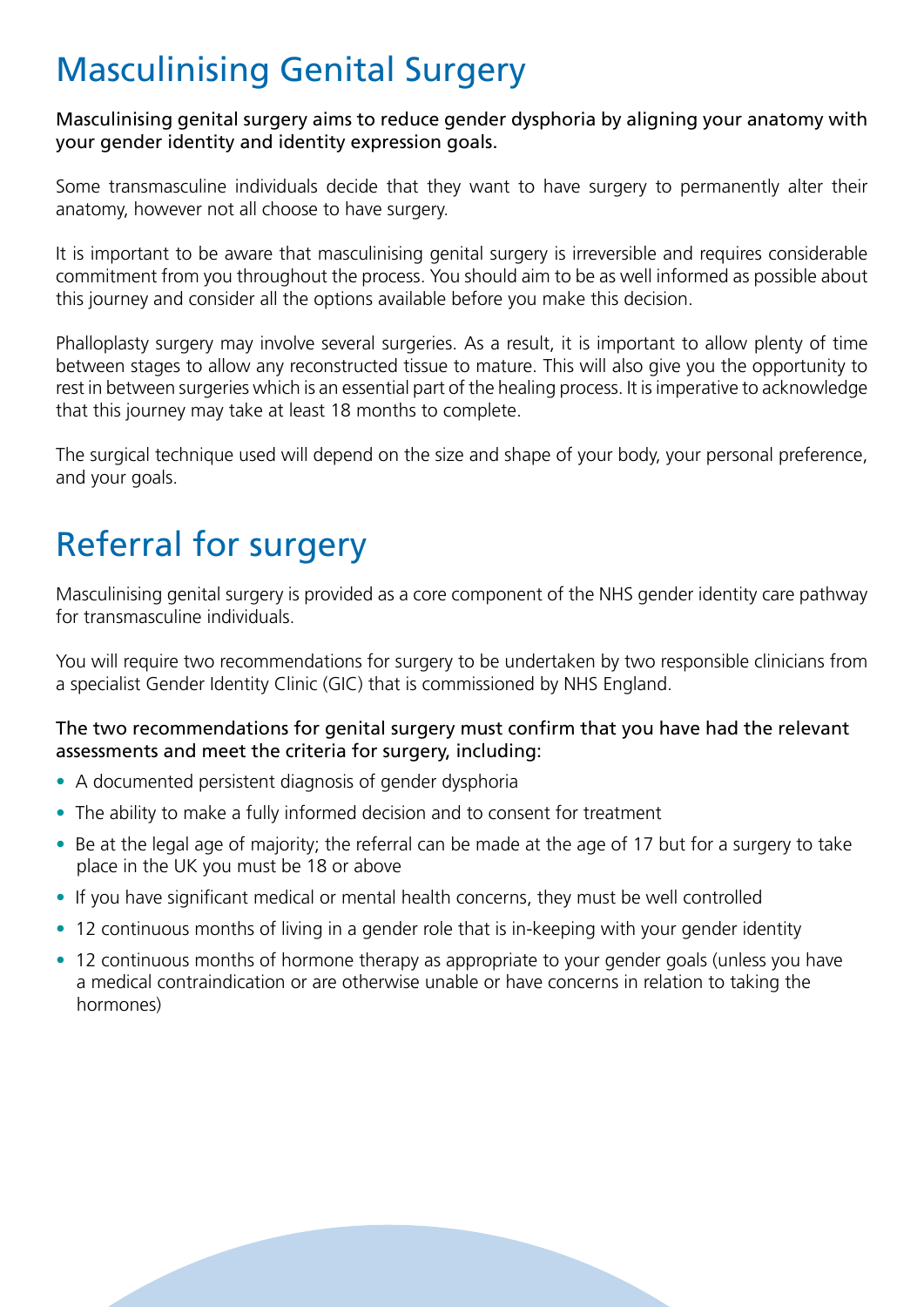### Masculinising Genital Surgery

Masculinising genital surgery aims to reduce gender dysphoria by aligning your anatomy with your gender identity and identity expression goals.

Some transmasculine individuals decide that they want to have surgery to permanently alter their anatomy, however not all choose to have surgery.

It is important to be aware that masculinising genital surgery is irreversible and requires considerable commitment from you throughout the process. You should aim to be as well informed as possible about this journey and consider all the options available before you make this decision.

Phalloplasty surgery may involve several surgeries. As a result, it is important to allow plenty of time between stages to allow any reconstructed tissue to mature. This will also give you the opportunity to rest in between surgeries which is an essential part of the healing process. It is imperative to acknowledge that this journey may take at least 18 months to complete.

The surgical technique used will depend on the size and shape of your body, your personal preference, and your goals.

# Referral for surgery

Masculinising genital surgery is provided as a core component of the NHS gender identity care pathway for transmasculine individuals.

You will require two recommendations for surgery to be undertaken by two responsible clinicians from a specialist Gender Identity Clinic (GIC) that is commissioned by NHS England.

#### The two recommendations for genital surgery must confirm that you have had the relevant assessments and meet the criteria for surgery, including:

- A documented persistent diagnosis of gender dysphoria
- The ability to make a fully informed decision and to consent for treatment
- Be at the legal age of majority; the referral can be made at the age of 17 but for a surgery to take place in the UK you must be 18 or above
- If you have significant medical or mental health concerns, they must be well controlled
- 12 continuous months of living in a gender role that is in-keeping with your gender identity
- 12 continuous months of hormone therapy as appropriate to your gender goals (unless you have a medical contraindication or are otherwise unable or have concerns in relation to taking the hormones)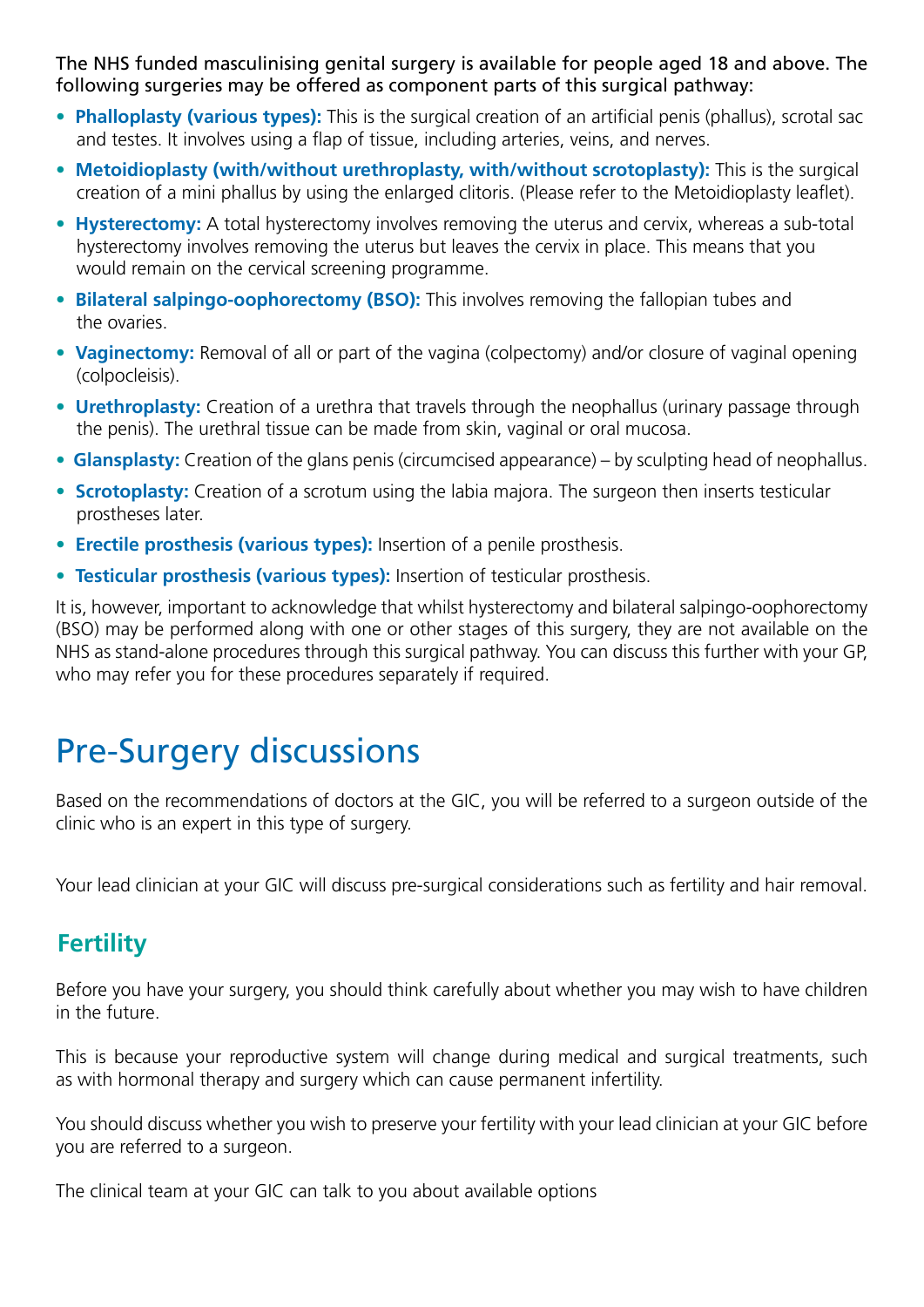The NHS funded masculinising genital surgery is available for people aged 18 and above. The following surgeries may be offered as component parts of this surgical pathway:

- **Phalloplasty (various types):** This is the surgical creation of an artificial penis (phallus), scrotal sac and testes. It involves using a flap of tissue, including arteries, veins, and nerves.
- **Metoidioplasty (with/without urethroplasty, with/without scrotoplasty):** This is the surgical creation of a mini phallus by using the enlarged clitoris. (Please refer to the Metoidioplasty leaflet).
- **Hysterectomy:** A total hysterectomy involves removing the uterus and cervix, whereas a sub-total hysterectomy involves removing the uterus but leaves the cervix in place. This means that you would remain on the cervical screening programme.
- **Bilateral salpingo-oophorectomy (BSO):** This involves removing the fallopian tubes and the ovaries.
- **Vaginectomy:** Removal of all or part of the vagina (colpectomy) and/or closure of vaginal opening (colpocleisis).
- **Urethroplasty:** Creation of a urethra that travels through the neophallus (urinary passage through the penis). The urethral tissue can be made from skin, vaginal or oral mucosa.
- **Glansplasty:** Creation of the glans penis (circumcised appearance) by sculpting head of neophallus.
- **Scrotoplasty:** Creation of a scrotum using the labia majora. The surgeon then inserts testicular prostheses later.
- **Erectile prosthesis (various types):** Insertion of a penile prosthesis.
- **Testicular prosthesis (various types):** Insertion of testicular prosthesis.

It is, however, important to acknowledge that whilst hysterectomy and bilateral salpingo-oophorectomy (BSO) may be performed along with one or other stages of this surgery, they are not available on the NHS as stand-alone procedures through this surgical pathway. You can discuss this further with your GP, who may refer you for these procedures separately if required.

# Pre-Surgery discussions

Based on the recommendations of doctors at the GIC, you will be referred to a surgeon outside of the clinic who is an expert in this type of surgery.

Your lead clinician at your GIC will discuss pre-surgical considerations such as fertility and hair removal.

#### **Fertility**

Before you have your surgery, you should think carefully about whether you may wish to have children in the future.

This is because your reproductive system will change during medical and surgical treatments, such as with hormonal therapy and surgery which can cause permanent infertility.

You should discuss whether you wish to preserve your fertility with your lead clinician at your GIC before you are referred to a surgeon.

The clinical team at your GIC can talk to you about available options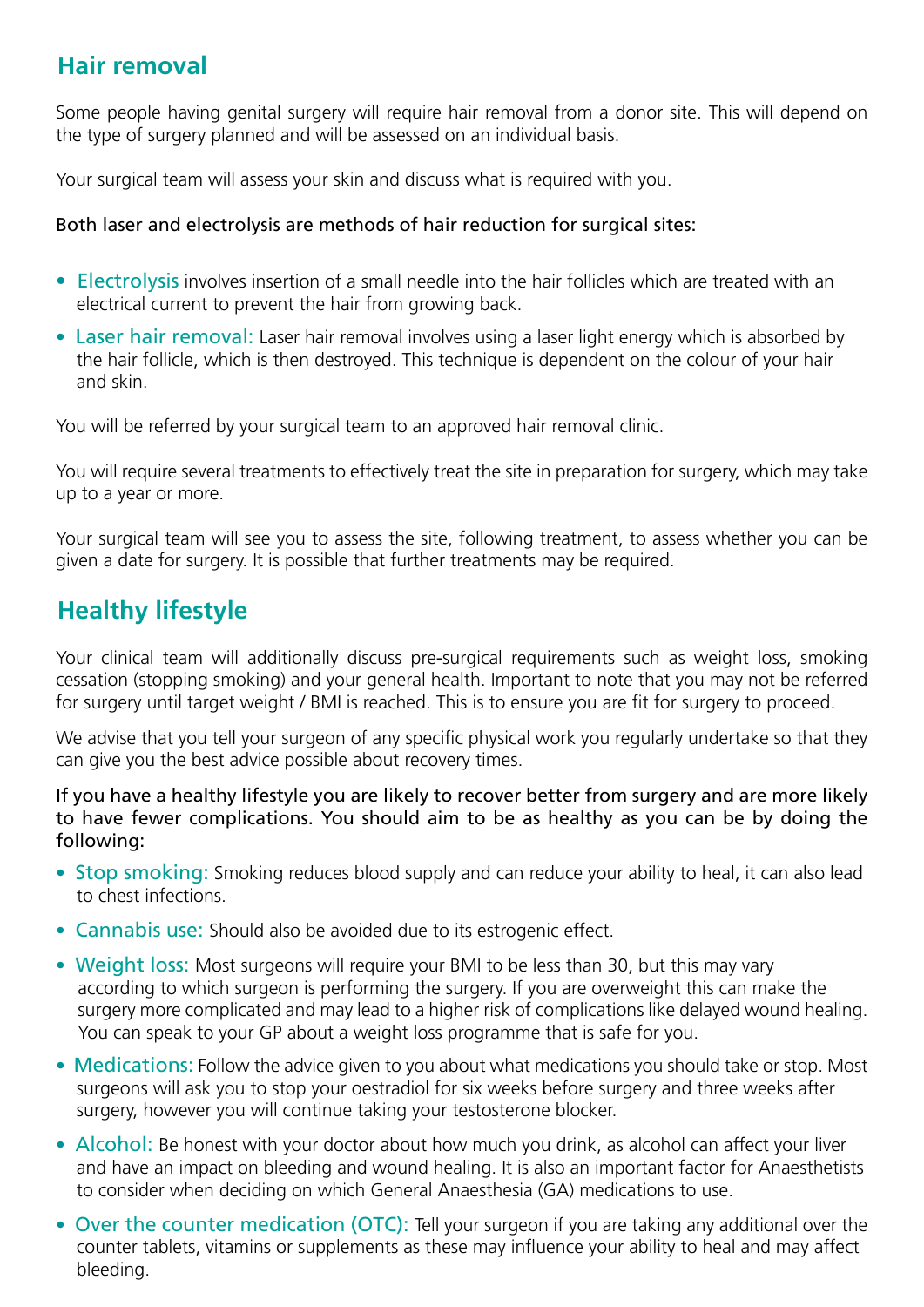#### **Hair removal**

Some people having genital surgery will require hair removal from a donor site. This will depend on the type of surgery planned and will be assessed on an individual basis.

Your surgical team will assess your skin and discuss what is required with you.

#### Both laser and electrolysis are methods of hair reduction for surgical sites:

- Electrolysis involves insertion of a small needle into the hair follicles which are treated with an electrical current to prevent the hair from growing back.
- Laser hair removal: Laser hair removal involves using a laser light energy which is absorbed by the hair follicle, which is then destroyed. This technique is dependent on the colour of your hair and skin.

You will be referred by your surgical team to an approved hair removal clinic.

You will require several treatments to effectively treat the site in preparation for surgery, which may take up to a year or more.

Your surgical team will see you to assess the site, following treatment, to assess whether you can be given a date for surgery. It is possible that further treatments may be required.

#### **Healthy lifestyle**

Your clinical team will additionally discuss pre-surgical requirements such as weight loss, smoking cessation (stopping smoking) and your general health. Important to note that you may not be referred for surgery until target weight / BMI is reached. This is to ensure you are fit for surgery to proceed.

We advise that you tell your surgeon of any specific physical work you regularly undertake so that they can give you the best advice possible about recovery times.

If you have a healthy lifestyle you are likely to recover better from surgery and are more likely to have fewer complications. You should aim to be as healthy as you can be by doing the following:

- Stop smoking: Smoking reduces blood supply and can reduce your ability to heal, it can also lead to chest infections.
- Cannabis use: Should also be avoided due to its estrogenic effect.
- Weight loss: Most surgeons will require your BMI to be less than 30, but this may vary according to which surgeon is performing the surgery. If you are overweight this can make the surgery more complicated and may lead to a higher risk of complications like delayed wound healing. You can speak to your GP about a weight loss programme that is safe for you.
- Medications: Follow the advice given to you about what medications you should take or stop. Most surgeons will ask you to stop your oestradiol for six weeks before surgery and three weeks after surgery, however you will continue taking your testosterone blocker.
- Alcohol: Be honest with your doctor about how much you drink, as alcohol can affect your liver and have an impact on bleeding and wound healing. It is also an important factor for Anaesthetists to consider when deciding on which General Anaesthesia (GA) medications to use.
- Over the counter medication (OTC): Tell your surgeon if you are taking any additional over the counter tablets, vitamins or supplements as these may influence your ability to heal and may affect bleeding.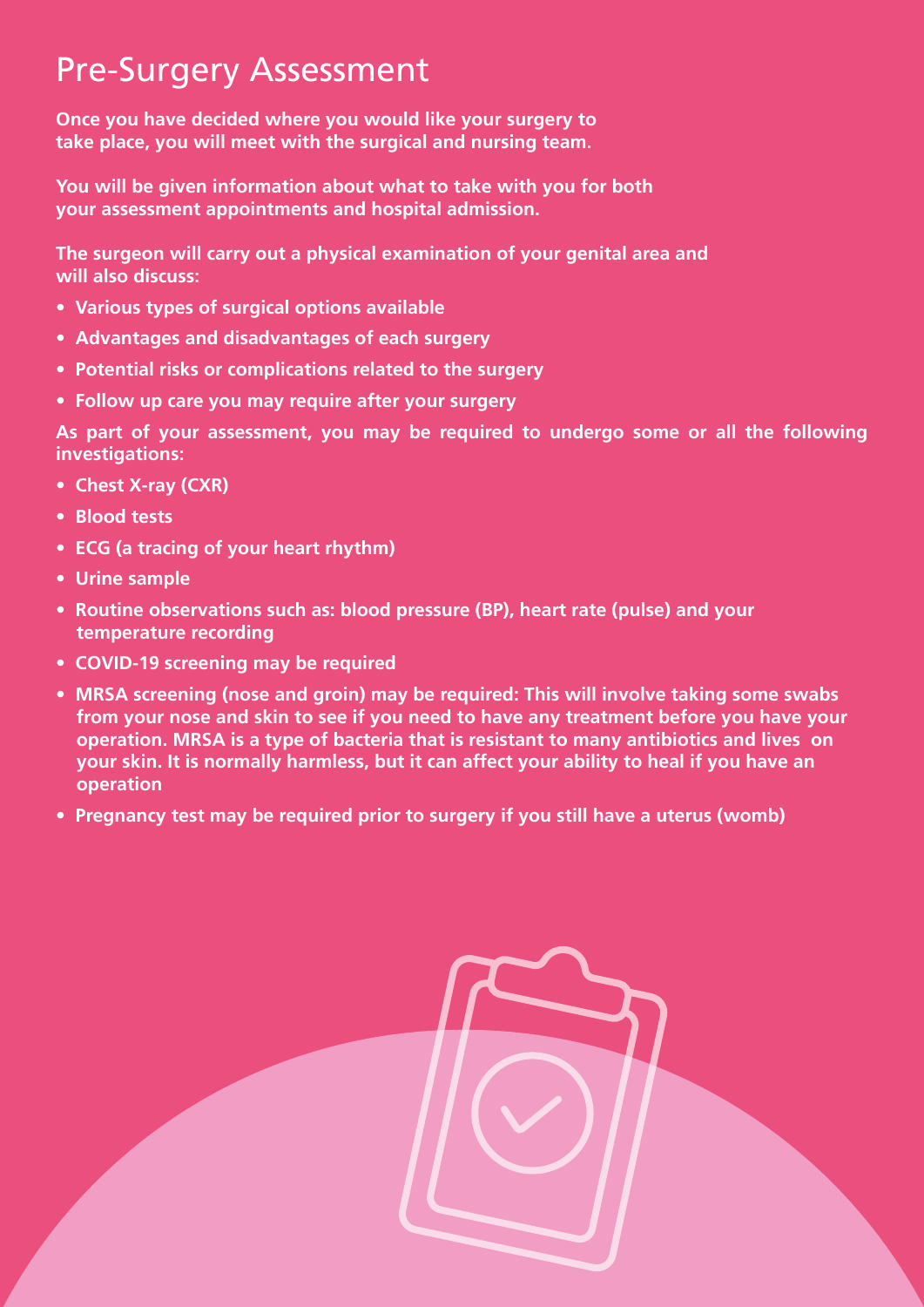### Pre-Surgery Assessment

**Once you have decided where you would like your surgery to take place, you will meet with the surgical and nursing team.** 

**You will be given information about what to take with you for both your assessment appointments and hospital admission.**

**The surgeon will carry out a physical examination of your genital area and will also discuss:**

- **Various types of surgical options available**
- **Advantages and disadvantages of each surgery**
- **Potential risks or complications related to the surgery**
- **Follow up care you may require after your surgery**

**As part of your assessment, you may be required to undergo some or all the following investigations:** 

- **Chest X-ray (CXR)**
- **Blood tests**
- **ECG (a tracing of your heart rhythm)**
- **Urine sample**
- **Routine observations such as: blood pressure (BP), heart rate (pulse) and your temperature recording**
- **COVID-19 screening may be required**
- **MRSA screening (nose and groin) may be required: This will involve taking some swabs from your nose and skin to see if you need to have any treatment before you have your operation. MRSA is a type of bacteria that is resistant to many antibiotics and lives on your skin. It is normally harmless, but it can affect your ability to heal if you have an operation**
- **Pregnancy test may be required prior to surgery if you still have a uterus (womb)**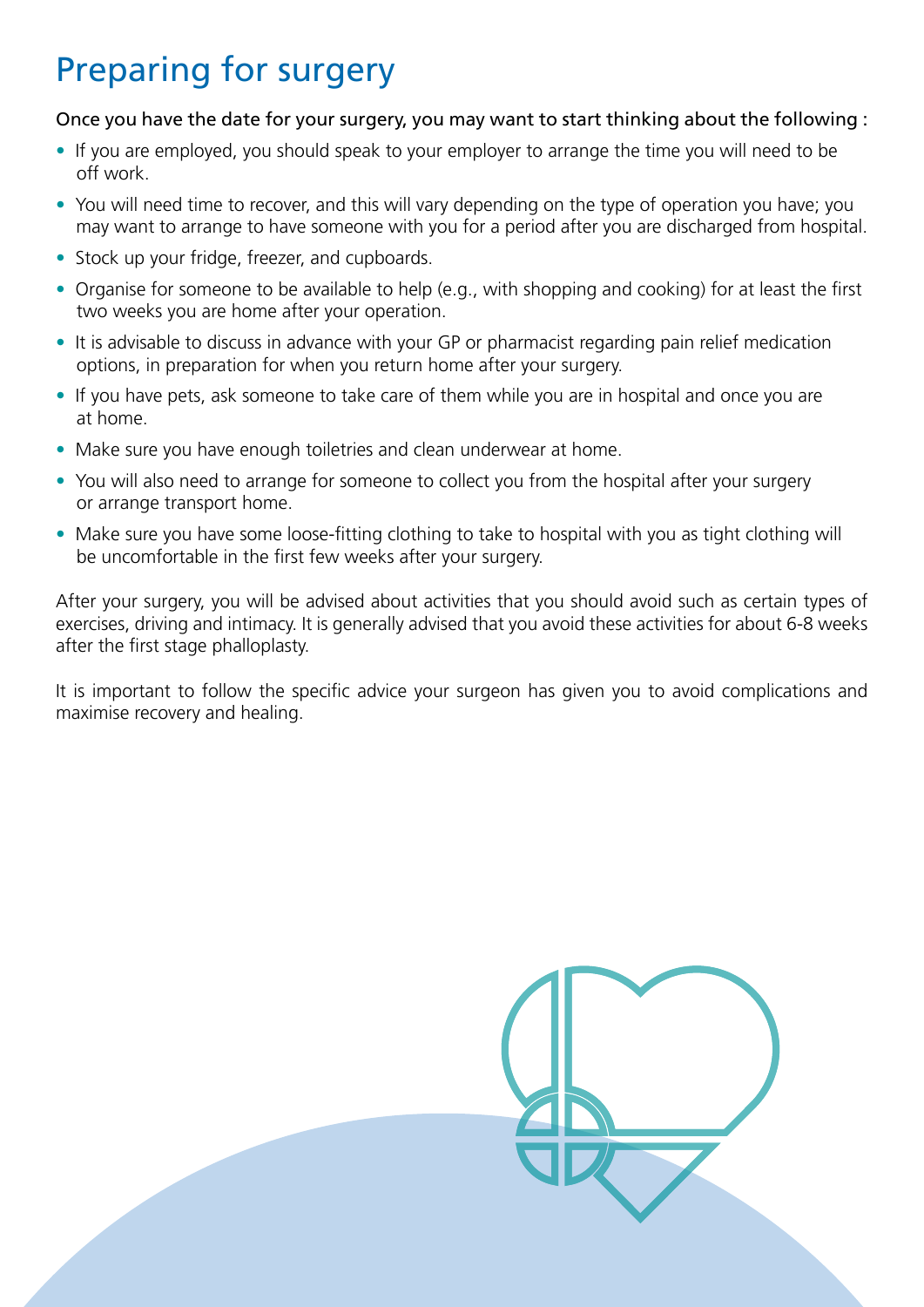# Preparing for surgery

#### Once you have the date for your surgery, you may want to start thinking about the following :

- If you are employed, you should speak to your employer to arrange the time you will need to be off work.
- You will need time to recover, and this will vary depending on the type of operation you have; you may want to arrange to have someone with you for a period after you are discharged from hospital.
- Stock up your fridge, freezer, and cupboards.
- Organise for someone to be available to help (e.g., with shopping and cooking) for at least the first two weeks you are home after your operation.
- It is advisable to discuss in advance with your GP or pharmacist regarding pain relief medication options, in preparation for when you return home after your surgery.
- If you have pets, ask someone to take care of them while you are in hospital and once you are at home.
- Make sure you have enough toiletries and clean underwear at home.
- You will also need to arrange for someone to collect you from the hospital after your surgery or arrange transport home.
- Make sure you have some loose-fitting clothing to take to hospital with you as tight clothing will be uncomfortable in the first few weeks after your surgery.

After your surgery, you will be advised about activities that you should avoid such as certain types of exercises, driving and intimacy. It is generally advised that you avoid these activities for about 6-8 weeks after the first stage phalloplasty.

It is important to follow the specific advice your surgeon has given you to avoid complications and maximise recovery and healing.

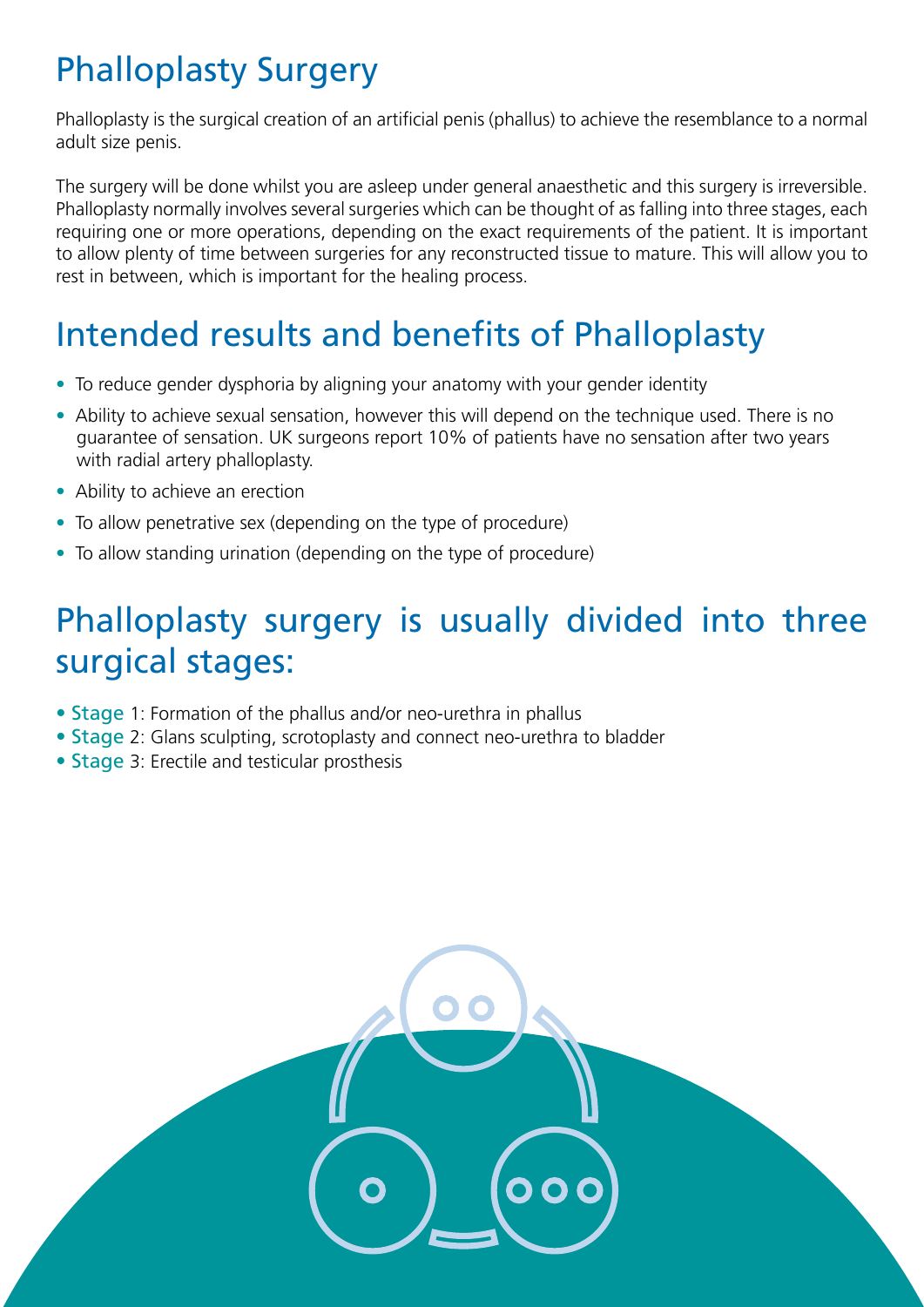# Phalloplasty Surgery

Phalloplasty is the surgical creation of an artificial penis (phallus) to achieve the resemblance to a normal adult size penis.

The surgery will be done whilst you are asleep under general anaesthetic and this surgery is irreversible. Phalloplasty normally involves several surgeries which can be thought of as falling into three stages, each requiring one or more operations, depending on the exact requirements of the patient. It is important to allow plenty of time between surgeries for any reconstructed tissue to mature. This will allow you to rest in between, which is important for the healing process.

# Intended results and benefits of Phalloplasty

- To reduce gender dysphoria by aligning your anatomy with your gender identity
- Ability to achieve sexual sensation, however this will depend on the technique used. There is no guarantee of sensation. UK surgeons report 10% of patients have no sensation after two years with radial artery phalloplasty.
- Ability to achieve an erection
- To allow penetrative sex (depending on the type of procedure)
- To allow standing urination (depending on the type of procedure)

### Phalloplasty surgery is usually divided into three surgical stages:

- Stage 1: Formation of the phallus and/or neo-urethra in phallus
- Stage 2: Glans sculpting, scrotoplasty and connect neo-urethra to bladder
- Stage 3: Erectile and testicular prosthesis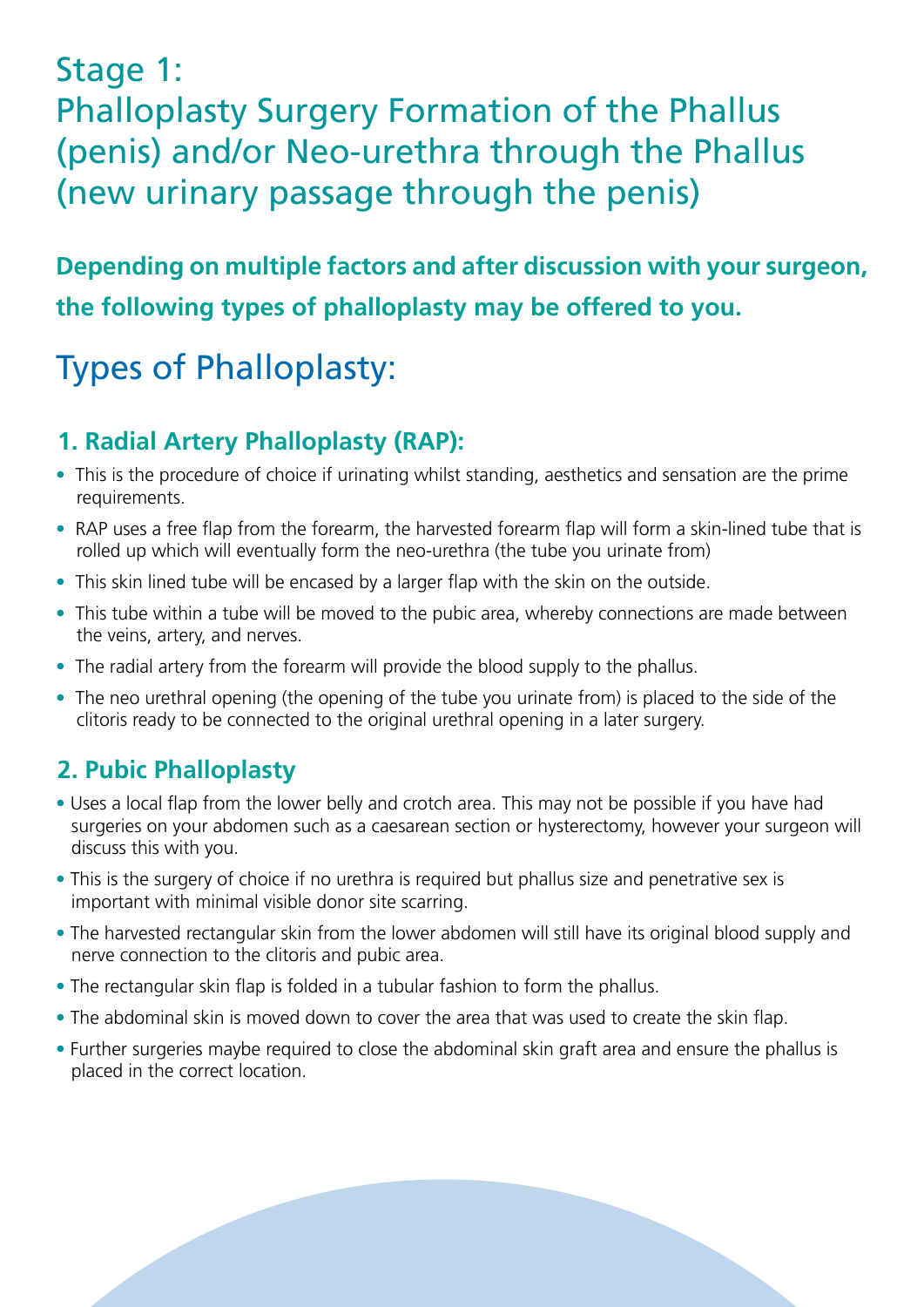### Stage 1: Phalloplasty Surgery Formation of the Phallus (penis) and/or Neo-urethra through the Phallus (new urinary passage through the penis)

### **Depending on multiple factors and after discussion with your surgeon, the following types of phalloplasty may be offered to you.**

# Types of Phalloplasty:

### **1. Radial Artery Phalloplasty (RAP):**

- This is the procedure of choice if urinating whilst standing, aesthetics and sensation are the prime requirements.
- RAP uses a free flap from the forearm, the harvested forearm flap will form a skin-lined tube that is rolled up which will eventually form the neo-urethra (the tube you urinate from)
- This skin lined tube will be encased by a larger flap with the skin on the outside.
- This tube within a tube will be moved to the pubic area, whereby connections are made between the veins, artery, and nerves.
- The radial artery from the forearm will provide the blood supply to the phallus.
- The neo urethral opening (the opening of the tube you urinate from) is placed to the side of the clitoris ready to be connected to the original urethral opening in a later surgery.

### **2. Pubic Phalloplasty**

- Uses a local flap from the lower belly and crotch area. This may not be possible if you have had surgeries on your abdomen such as a caesarean section or hysterectomy, however your surgeon will discuss this with you.
- This is the surgery of choice if no urethra is required but phallus size and penetrative sex is important with minimal visible donor site scarring.
- The harvested rectangular skin from the lower abdomen will still have its original blood supply and nerve connection to the clitoris and pubic area.
- The rectangular skin flap is folded in a tubular fashion to form the phallus.
- The abdominal skin is moved down to cover the area that was used to create the skin flap.
- Further surgeries maybe required to close the abdominal skin graft area and ensure the phallus is placed in the correct location.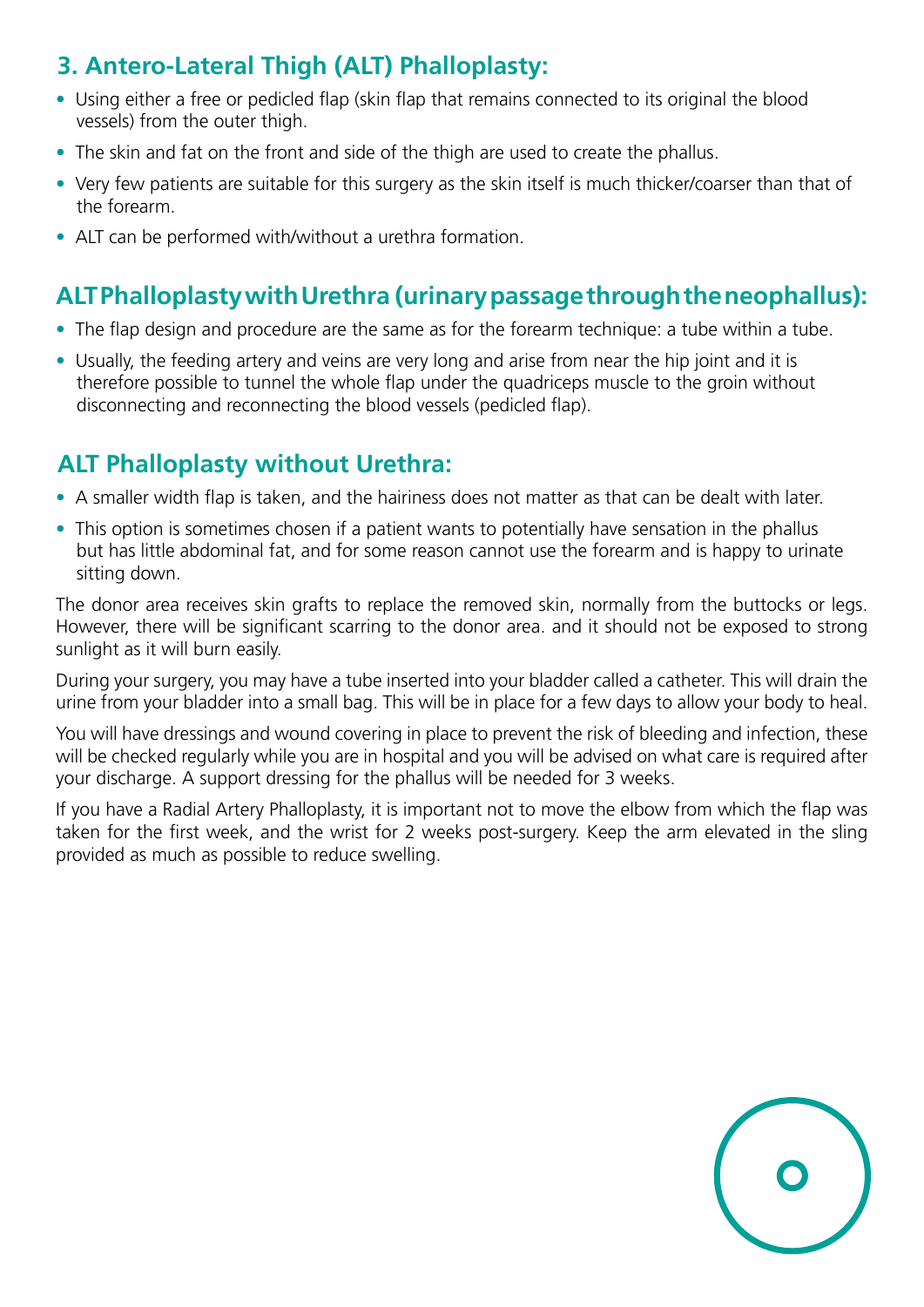### **3. Antero-Lateral Thigh (ALT) Phalloplasty:**

- Using either a free or pedicled flap (skin flap that remains connected to its original the blood vessels) from the outer thigh.
- The skin and fat on the front and side of the thigh are used to create the phallus.
- Very few patients are suitable for this surgery as the skin itself is much thicker/coarser than that of the forearm.
- ALT can be performed with/without a urethra formation.

### **ALT Phalloplasty with Urethra (urinary passage through the neophallus):**

- The flap design and procedure are the same as for the forearm technique: a tube within a tube.
- Usually, the feeding artery and veins are very long and arise from near the hip joint and it is therefore possible to tunnel the whole flap under the quadriceps muscle to the groin without disconnecting and reconnecting the blood vessels (pedicled flap).

### **ALT Phalloplasty without Urethra:**

- A smaller width flap is taken, and the hairiness does not matter as that can be dealt with later.
- This option is sometimes chosen if a patient wants to potentially have sensation in the phallus but has little abdominal fat, and for some reason cannot use the forearm and is happy to urinate sitting down.

The donor area receives skin grafts to replace the removed skin, normally from the buttocks or legs. However, there will be significant scarring to the donor area. and it should not be exposed to strong sunlight as it will burn easily.

During your surgery, you may have a tube inserted into your bladder called a catheter. This will drain the urine from your bladder into a small bag. This will be in place for a few days to allow your body to heal.

You will have dressings and wound covering in place to prevent the risk of bleeding and infection, these will be checked regularly while you are in hospital and you will be advised on what care is required after your discharge. A support dressing for the phallus will be needed for 3 weeks.

If you have a Radial Artery Phalloplasty, it is important not to move the elbow from which the flap was taken for the first week, and the wrist for 2 weeks post-surgery. Keep the arm elevated in the sling provided as much as possible to reduce swelling.

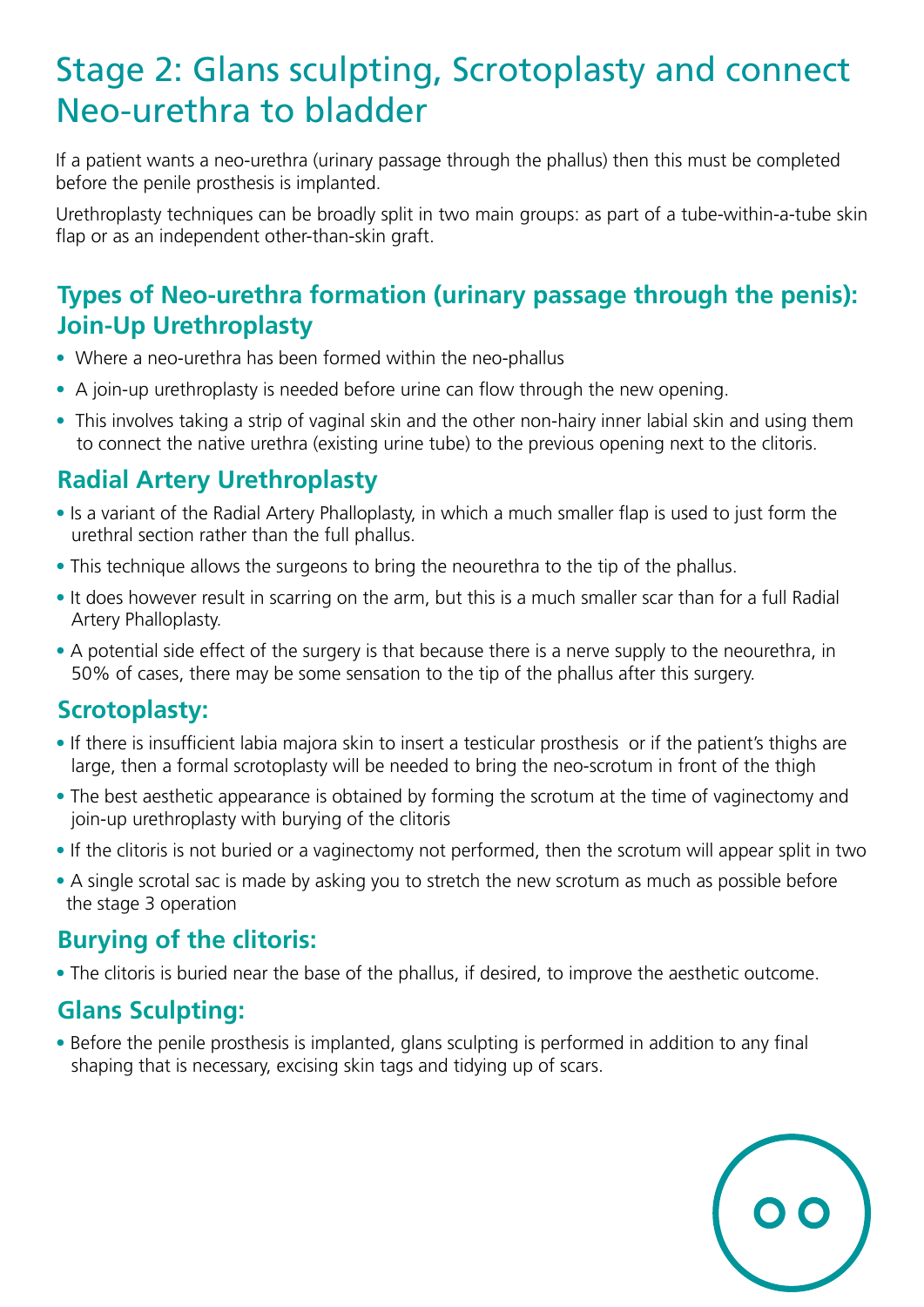### Stage 2: Glans sculpting, Scrotoplasty and connect Neo-urethra to bladder

If a patient wants a neo-urethra (urinary passage through the phallus) then this must be completed before the penile prosthesis is implanted.

Urethroplasty techniques can be broadly split in two main groups: as part of a tube-within-a-tube skin flap or as an independent other-than-skin graft.

#### **Types of Neo-urethra formation (urinary passage through the penis): Join-Up Urethroplasty**

- Where a neo-urethra has been formed within the neo-phallus
- A join-up urethroplasty is needed before urine can flow through the new opening.
- This involves taking a strip of vaginal skin and the other non-hairy inner labial skin and using them to connect the native urethra (existing urine tube) to the previous opening next to the clitoris.

#### **Radial Artery Urethroplasty**

- Is a variant of the Radial Artery Phalloplasty, in which a much smaller flap is used to just form the urethral section rather than the full phallus.
- This technique allows the surgeons to bring the neourethra to the tip of the phallus.
- It does however result in scarring on the arm, but this is a much smaller scar than for a full Radial Artery Phalloplasty.
- A potential side effect of the surgery is that because there is a nerve supply to the neourethra, in 50% of cases, there may be some sensation to the tip of the phallus after this surgery.

### **Scrotoplasty:**

- If there is insufficient labia majora skin to insert a testicular prosthesis or if the patient's thighs are large, then a formal scrotoplasty will be needed to bring the neo-scrotum in front of the thigh
- The best aesthetic appearance is obtained by forming the scrotum at the time of vaginectomy and join-up urethroplasty with burying of the clitoris
- If the clitoris is not buried or a vaginectomy not performed, then the scrotum will appear split in two
- A single scrotal sac is made by asking you to stretch the new scrotum as much as possible before the stage 3 operation

#### **Burying of the clitoris:**

• The clitoris is buried near the base of the phallus, if desired, to improve the aesthetic outcome.

### **Glans Sculpting:**

• Before the penile prosthesis is implanted, glans sculpting is performed in addition to any final shaping that is necessary, excising skin tags and tidying up of scars.

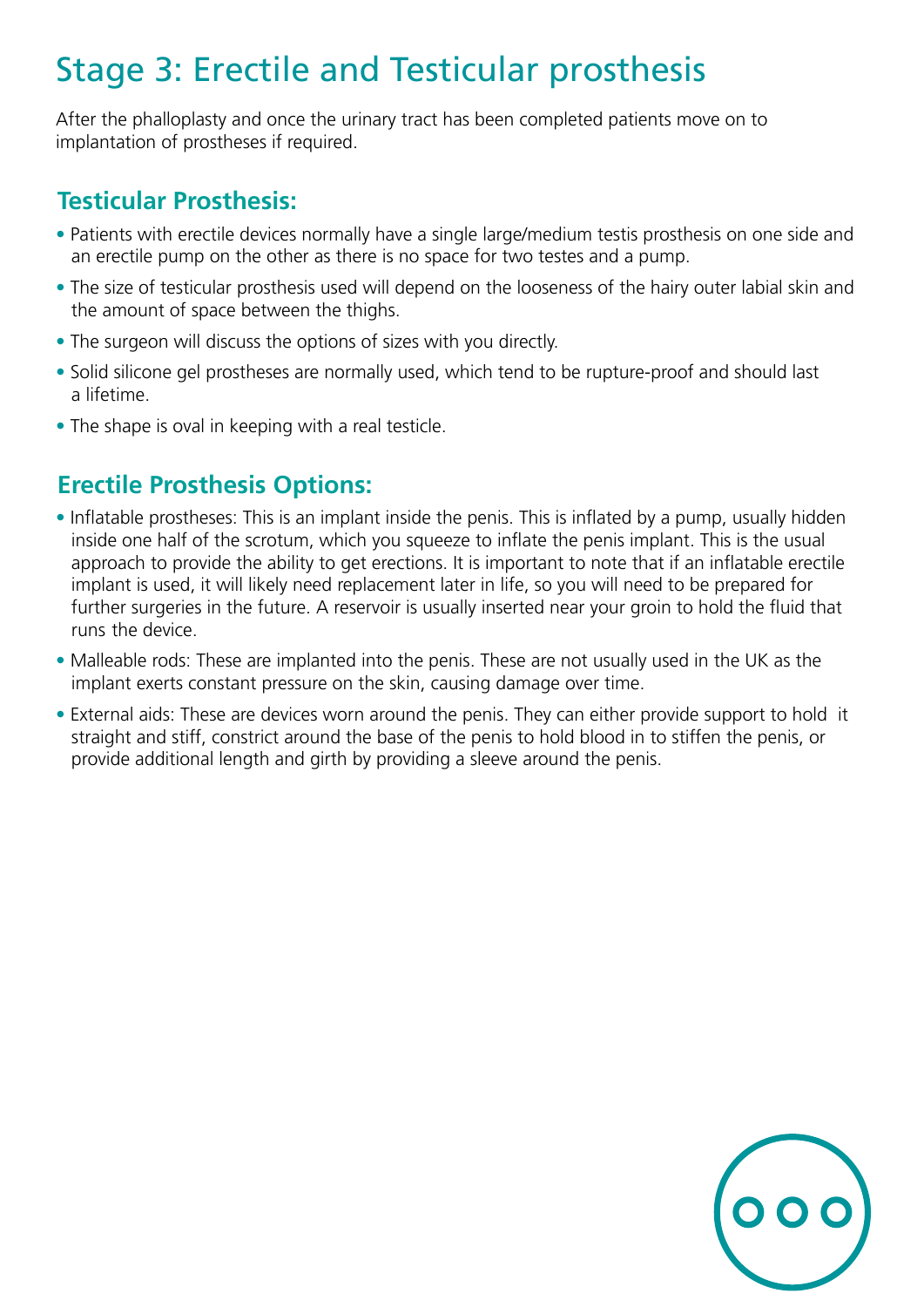# Stage 3: Erectile and Testicular prosthesis

After the phalloplasty and once the urinary tract has been completed patients move on to implantation of prostheses if required.

#### **Testicular Prosthesis:**

- Patients with erectile devices normally have a single large/medium testis prosthesis on one side and an erectile pump on the other as there is no space for two testes and a pump.
- The size of testicular prosthesis used will depend on the looseness of the hairy outer labial skin and the amount of space between the thighs.
- The surgeon will discuss the options of sizes with you directly.
- Solid silicone gel prostheses are normally used, which tend to be rupture-proof and should last a lifetime.
- The shape is oval in keeping with a real testicle.

#### **Erectile Prosthesis Options:**

- Inflatable prostheses: This is an implant inside the penis. This is inflated by a pump, usually hidden inside one half of the scrotum, which you squeeze to inflate the penis implant. This is the usual approach to provide the ability to get erections. It is important to note that if an inflatable erectile implant is used, it will likely need replacement later in life, so you will need to be prepared for further surgeries in the future. A reservoir is usually inserted near your groin to hold the fluid that runs the device.
- Malleable rods: These are implanted into the penis. These are not usually used in the UK as the implant exerts constant pressure on the skin, causing damage over time.
- External aids: These are devices worn around the penis. They can either provide support to hold it straight and stiff, constrict around the base of the penis to hold blood in to stiffen the penis, or provide additional length and girth by providing a sleeve around the penis.

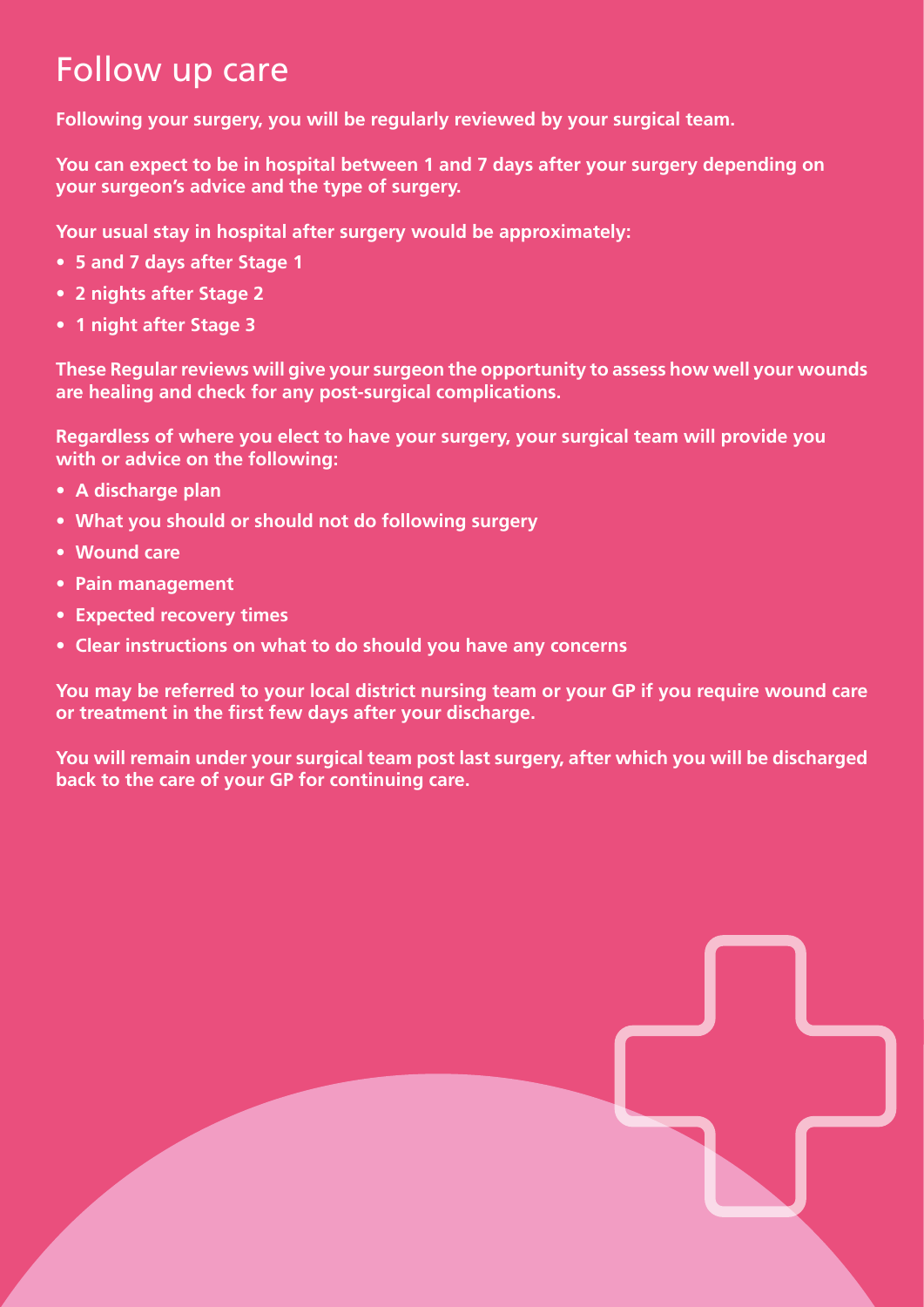### Follow up care

**Following your surgery, you will be regularly reviewed by your surgical team.**

**You can expect to be in hospital between 1 and 7 days after your surgery depending on your surgeon's advice and the type of surgery.** 

**Your usual stay in hospital after surgery would be approximately:** 

- **5 and 7 days after Stage 1**
- **2 nights after Stage 2**
- **1 night after Stage 3**

**These Regular reviews will give your surgeon the opportunity to assess how well your wounds are healing and check for any post-surgical complications.**

**Regardless of where you elect to have your surgery, your surgical team will provide you with or advice on the following:**

- **A discharge plan**
- **What you should or should not do following surgery**
- **Wound care**
- **Pain management**
- **Expected recovery times**
- **Clear instructions on what to do should you have any concerns**

**You may be referred to your local district nursing team or your GP if you require wound care or treatment in the first few days after your discharge.**

**You will remain under your surgical team post last surgery, after which you will be discharged back to the care of your GP for continuing care.**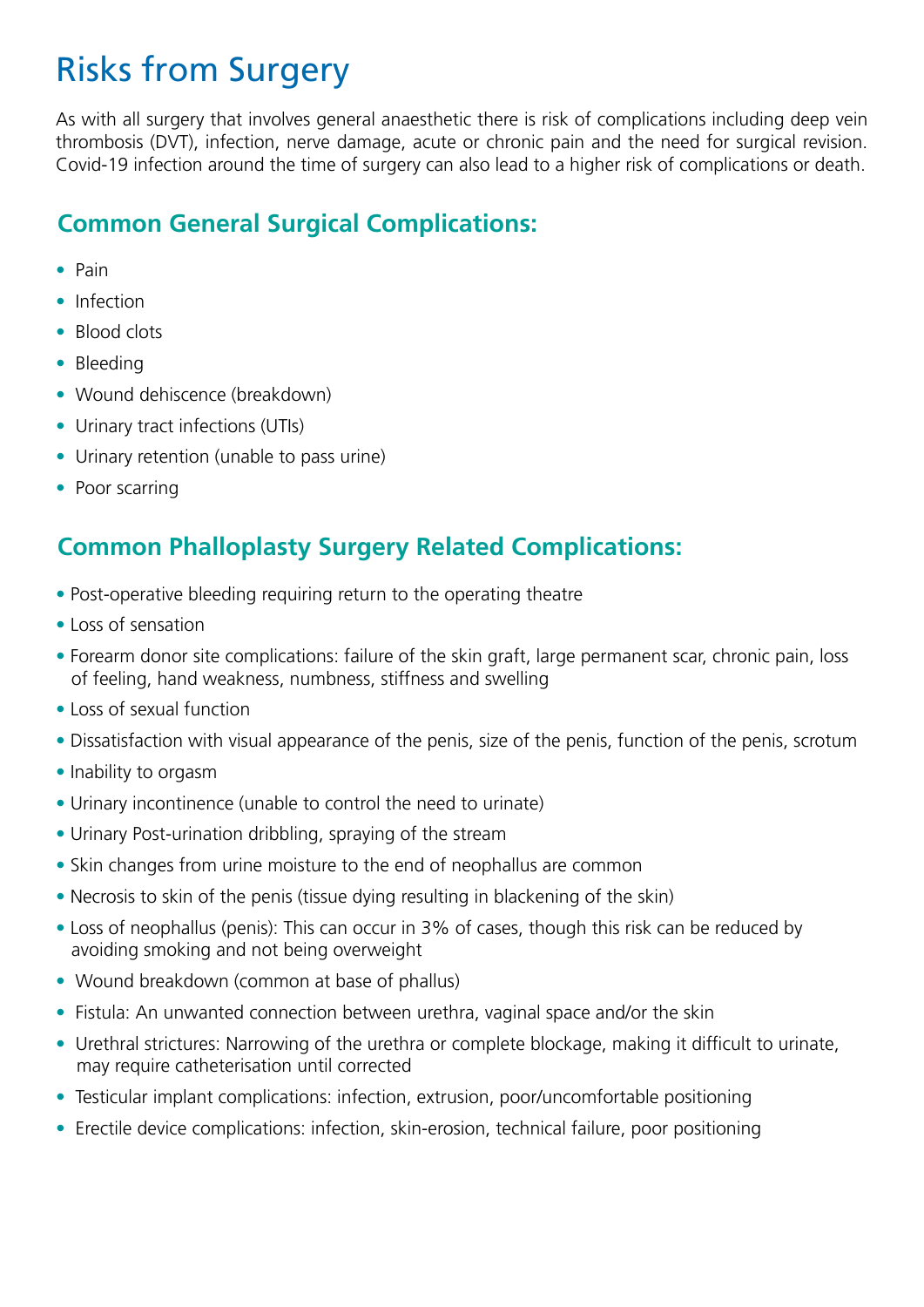### Risks from Surgery

As with all surgery that involves general anaesthetic there is risk of complications including deep vein thrombosis (DVT), infection, nerve damage, acute or chronic pain and the need for surgical revision. Covid-19 infection around the time of surgery can also lead to a higher risk of complications or death.

#### **Common General Surgical Complications:**

- Pain
- Infection
- Blood clots
- Bleeding
- Wound dehiscence (breakdown)
- Urinary tract infections (UTIs)
- Urinary retention (unable to pass urine)
- Poor scarring

#### **Common Phalloplasty Surgery Related Complications:**

- Post-operative bleeding requiring return to the operating theatre
- Loss of sensation
- Forearm donor site complications: failure of the skin graft, large permanent scar, chronic pain, loss of feeling, hand weakness, numbness, stiffness and swelling
- Loss of sexual function
- Dissatisfaction with visual appearance of the penis, size of the penis, function of the penis, scrotum
- Inability to orgasm
- Urinary incontinence (unable to control the need to urinate)
- Urinary Post-urination dribbling, spraying of the stream
- Skin changes from urine moisture to the end of neophallus are common
- Necrosis to skin of the penis (tissue dying resulting in blackening of the skin)
- Loss of neophallus (penis): This can occur in 3% of cases, though this risk can be reduced by avoiding smoking and not being overweight
- Wound breakdown (common at base of phallus)
- Fistula: An unwanted connection between urethra, vaginal space and/or the skin
- Urethral strictures: Narrowing of the urethra or complete blockage, making it difficult to urinate, may require catheterisation until corrected
- Testicular implant complications: infection, extrusion, poor/uncomfortable positioning
- Erectile device complications: infection, skin-erosion, technical failure, poor positioning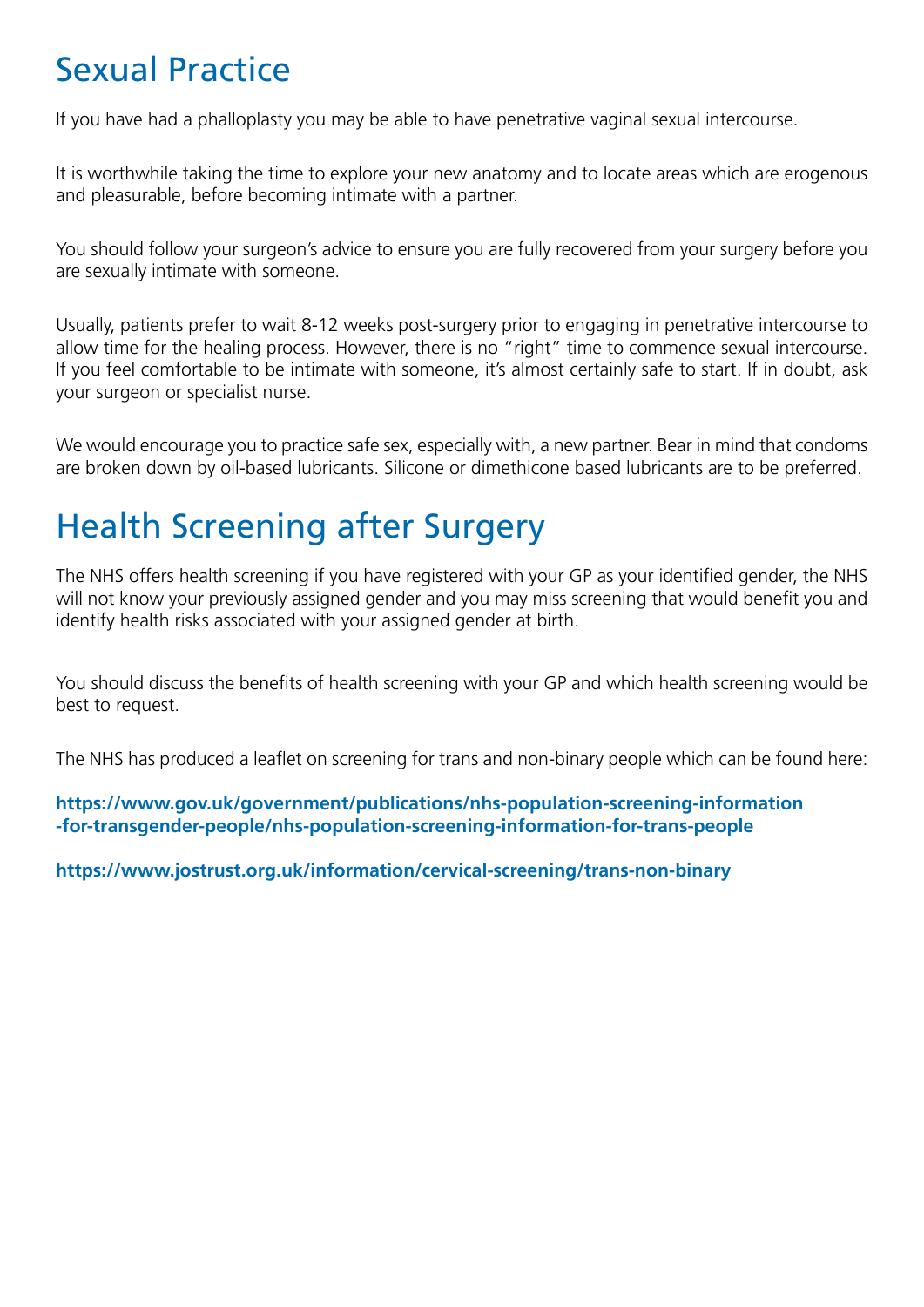### Sexual Practice

If you have had a phalloplasty you may be able to have penetrative vaginal sexual intercourse.

It is worthwhile taking the time to explore your new anatomy and to locate areas which are erogenous and pleasurable, before becoming intimate with a partner.

You should follow your surgeon's advice to ensure you are fully recovered from your surgery before you are sexually intimate with someone.

Usually, patients prefer to wait 8-12 weeks post-surgery prior to engaging in penetrative intercourse to allow time for the healing process. However, there is no "right" time to commence sexual intercourse. If you feel comfortable to be intimate with someone, it's almost certainly safe to start. If in doubt, ask your surgeon or specialist nurse.

We would encourage you to practice safe sex, especially with, a new partner. Bear in mind that condoms are broken down by oil-based lubricants. Silicone or dimethicone based lubricants are to be preferred.

### Health Screening after Surgery

The NHS offers health screening if you have registered with your GP as your identified gender, the NHS will not know your previously assigned gender and you may miss screening that would benefit you and identify health risks associated with your assigned gender at birth.

You should discuss the benefits of health screening with your GP and which health screening would be best to request.

The NHS has produced a leaflet on screening for trans and non-binary people which can be found here:

**https://www.gov.uk/government/publications/nhs-population-screening-information -for-transgender-people/nhs-population-screening-information-for-trans-people**

**https://www.jostrust.org.uk/information/cervical-screening/trans-non-binary**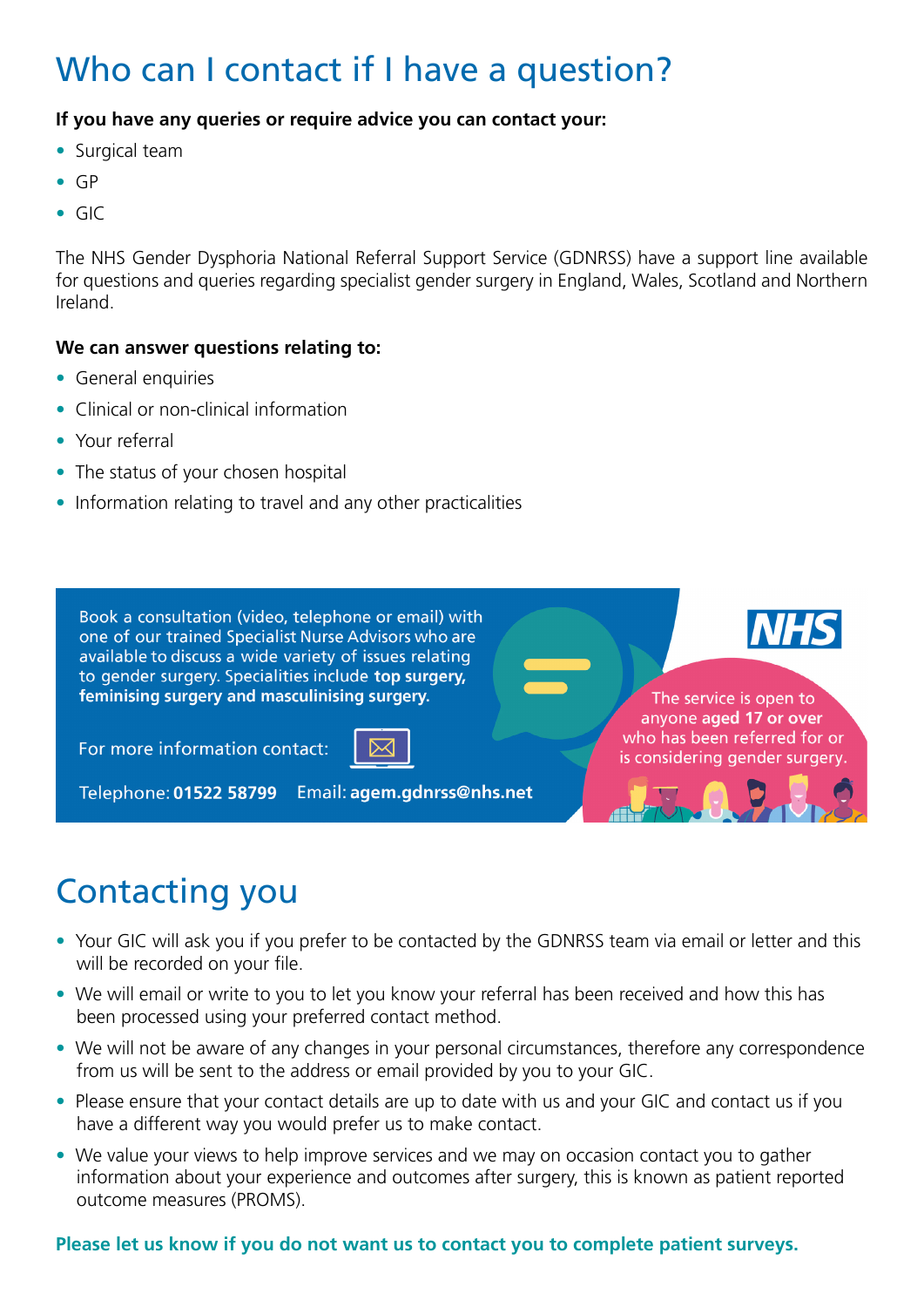### Who can I contact if I have a question?

#### **If you have any queries or require advice you can contact your:**

- Surgical team
- GP
- GIC

The NHS Gender Dysphoria National Referral Support Service (GDNRSS) have a support line available for questions and queries regarding specialist gender surgery in England, Wales, Scotland and Northern Ireland.

#### **We can answer questions relating to:**

- General enquiries
- Clinical or non-clinical information
- Your referral
- The status of your chosen hospital
- Information relating to travel and any other practicalities



### Contacting you

- Your GIC will ask you if you prefer to be contacted by the GDNRSS team via email or letter and this will be recorded on your file.
- We will email or write to you to let you know your referral has been received and how this has been processed using your preferred contact method.
- We will not be aware of any changes in your personal circumstances, therefore any correspondence from us will be sent to the address or email provided by you to your GIC.
- Please ensure that your contact details are up to date with us and your GIC and contact us if you have a different way you would prefer us to make contact.
- We value your views to help improve services and we may on occasion contact you to gather information about your experience and outcomes after surgery, this is known as patient reported outcome measures (PROMS).

#### **Please let us know if you do not want us to contact you to complete patient surveys.**